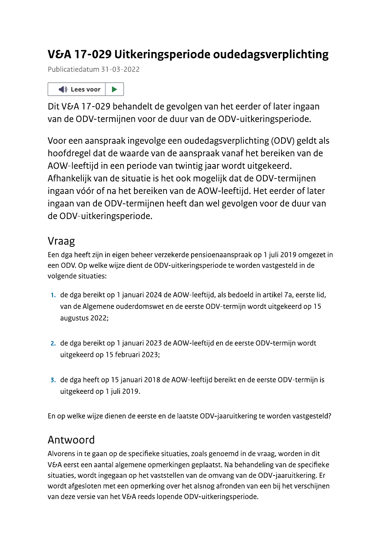# V&A 17-029 Uitkeringsperiode oudedagsverplichting

Publicatiedatum 31-03-2022



Dit V&A 17-029 behandelt de gevolgen van het eerder of later ingaan van de ODV-termijnen voor de duur van de ODV-uitkeringsperiode.

Voor een aanspraak ingevolge een oudedagsverplichting (ODV) geldt als hoofdregel dat de waarde van de aanspraak vanaf het bereiken van de AOW-leeftijd in een periode van twintig jaar wordt uitgekeerd. Afhankelijk van de situatie is het ook mogelijk dat de ODV-termijnen ingaan vóór of na het bereiken van de AOW-leeftijd. Het eerder of later ingaan van de ODV-termijnen heeft dan wel gevolgen voor de duur van de ODV-uitkeringsperiode.

## Vraag

Een dga heeft zijn in eigen beheer verzekerde pensioenaanspraak op 1 juli 2019 omgezet in een ODV. Op welke wijze dient de ODV-uitkeringsperiode te worden vastgesteld in de volgende situaties:

- 1. de dga bereikt op 1 januari 2024 de AOW-leeftijd, als bedoeld in artikel 7a, eerste lid, van de Algemene ouderdomswet en de eerste ODV-termijn wordt uitgekeerd op 15 augustus 2022;
- 2. de dga bereikt op 1 januari 2023 de AOW-leeftijd en de eerste ODV-termijn wordt uitgekeerd op 15 februari 2023;
- 3. de dga heeft op 15 januari 2018 de AOW-leeftijd bereikt en de eerste ODV-termijn is uitgekeerd op 1 juli 2019.

En op welke wijze dienen de eerste en de laatste ODV-jaaruitkering te worden vastgesteld?

# Antwoord

Alvorens in te gaan op de specifieke situaties, zoals genoemd in de vraag, worden in dit V&A eerst een aantal algemene opmerkingen geplaatst. Na behandeling van de specifieke situaties, wordt ingegaan op het vaststellen van de omvang van de ODV-jaaruitkering. Er wordt afgesloten met een opmerking over het alsnog afronden van een bij het verschijnen van deze versie van het V&A reeds lopende ODV-uitkeringsperiode.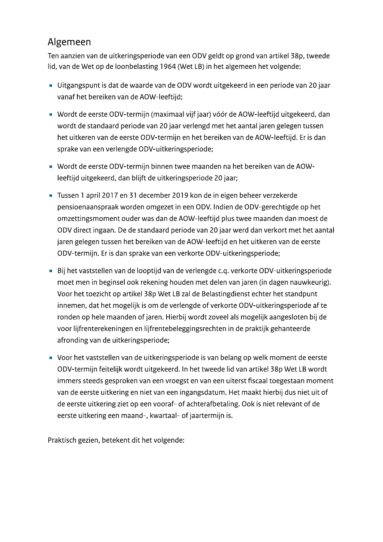## Algemeen

Ten aanzien van de uitkeringsperiode van een ODV geldt op grond van artikel 38p, tweede lid, van de Wet op de loonbelasting 1964 (Wet LB) in het algemeen het volgende:

- Uitgangspunt is dat de waarde van de ODV wordt uitgekeerd in een periode van 20 jaar vanaf het bereiken van de AOW-leeftijd;
- Wordt de eerste ODV-termijn (maximaal vijf jaar) vóór de AOW-leeftijd uitgekeerd, dan wordt de standaard periode van 20 jaar verlengd met het aantal jaren gelegen tussen het uitkeren van de eerste ODV-termijn en het bereiken van de AOW-leeftijd. Er is dan sprake van een verlengde ODV-uitkeringsperiode;
- Wordt de eerste ODV-termijn binnen twee maanden na het bereiken van de AOWleeftijd uitgekeerd, dan blijft de uitkeringsperiode 20 jaar;
- Tussen 1 april 2017 en 31 december 2019 kon de in eigen beheer verzekerde pensioenaanspraak worden omgezet in een ODV. Indien de ODV-gerechtigde op het omzettingsmoment ouder was dan de AOW-leeftijd plus twee maanden dan moest de ODV direct ingaan. De de standaard periode van 20 jaar werd dan verkort met het aantal jaren gelegen tussen het bereiken van de AOW-leeftijd en het uitkeren van de eerste ODV-termijn. Er is dan sprake van een verkorte ODV-uitkeringsperiode;
- Bij het vaststellen van de looptijd van de verlengde c.q. verkorte ODV-uitkeringsperiode moet men in beginsel ook rekening houden met delen van jaren (in dagen nauwkeurig). Voor het toezicht op artikel 38p Wet LB zal de Belastingdienst echter het standpunt innemen, dat het mogelijk is om de verlengde of verkorte ODV-uitkeringsperiode af te ronden op hele maanden of jaren. Hierbij wordt zoveel als mogelijk aangesloten bij de voor lijfrenterekeningen en lijfrentebeleggingsrechten in de praktijk gehanteerde afronding van de uitkeringsperiode;
- Voor het vaststellen van de uitkeringsperiode is van belang op welk moment de eerste ODV-termijn feitelijk wordt uitgekeerd. In het tweede lid van artikel 38p Wet LB wordt immers steeds gesproken van een vroegst en van een uiterst fiscaal toegestaan moment van de eerste uitkering en niet van een ingangsdatum. Het maakt hierbij dus niet uit of de eerste uitkering ziet op een vooraf- of achterafbetaling. Ook is niet relevant of de eerste uitkering een maand-, kwartaal- of jaartermijn is.

Praktisch gezien, betekent dit het volgende: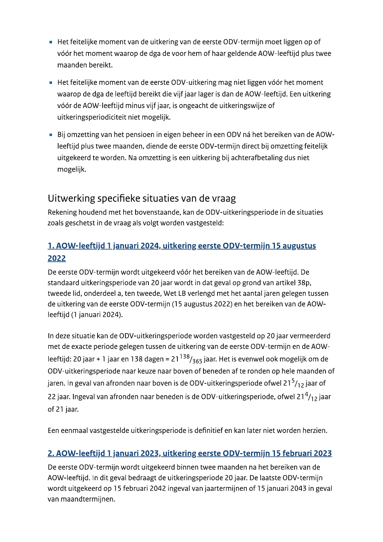- Het feitelijke moment van de uitkering van de eerste ODV-termijn moet liggen op of vóór het moment waarop de dga de voor hem of haar geldende AOW-leeftijd plus twee maanden bereikt.
- Het feitelijke moment van de eerste ODV-uitkering mag niet liggen vóór het moment waarop de dga de leeftijd bereikt die vijf jaar lager is dan de AOW-leeftijd. Een uitkering vóór de AOW-leeftijd minus vijf jaar, is ongeacht de uitkeringswijze of uitkeringsperiodiciteit niet mogelijk.
- Bij omzetting van het pensioen in eigen beheer in een ODV ná het bereiken van de AOWleeftijd plus twee maanden, diende de eerste ODV-termijn direct bij omzetting feitelijk uitgekeerd te worden. Na omzetting is een uitkering bij achterafbetaling dus niet mogelijk.

## Uitwerking specifieke situaties van de vraag

Rekening houdend met het bovenstaande, kan de ODV-uitkeringsperiode in de situaties zoals geschetst in de vraag als volgt worden vastgesteld:

## 1. AOW-leeftijd 1 januari 2024, uitkering eerste ODV-termijn 15 augustus 2022

De eerste ODV-termijn wordt uitgekeerd vóór het bereiken van de AOW-leeftijd. De standaard uitkeringsperiode van 20 jaar wordt in dat geval op grond van artikel 38p, tweede lid, onderdeel a, ten tweede, Wet LB verlengd met het aantal jaren gelegen tussen de uitkering van de eerste ODV-termijn (15 augustus 2022) en het bereiken van de AOWleeftijd (1 januari 2024).

In deze situatie kan de ODV-uitkeringsperiode worden vastgesteld op 20 jaar vermeerderd met de exacte periode gelegen tussen de uitkering van de eerste ODV-termijn en de AOWleeftijd: 20 jaar + 1 jaar en 138 dagen = 21  $138/365$  jaar. Het is evenwel ook mogelijk om de ODV-uitkeringsperiode naar keuze naar boven of beneden af te ronden op hele maanden of jaren. In geval van afronden naar boven is de ODV-uitkeringsperiode ofwel 21 $5/12$  jaar of 22 jaar. Ingeval van afronden naar beneden is de ODV-uitkeringsperiode, ofwel 21 $\frac{4}{12}$  jaar of 21 jaar.

Een eenmaal vastgestelde uitkeringsperiode is definitief en kan later niet worden herzien.

#### 2. AOW-leeftijd 1 januari 2023, uitkering eerste ODV-termijn 15 februari 2023

De eerste ODV-termijn wordt uitgekeerd binnen twee maanden na het bereiken van de AOW-leeftijd. In dit geval bedraagt de uitkeringsperiode 20 jaar. De laatste ODV-termijn wordt uitgekeerd op 15 februari 2042 ingeval van jaartermijnen of 15 januari 2043 in geval van maandtermijnen.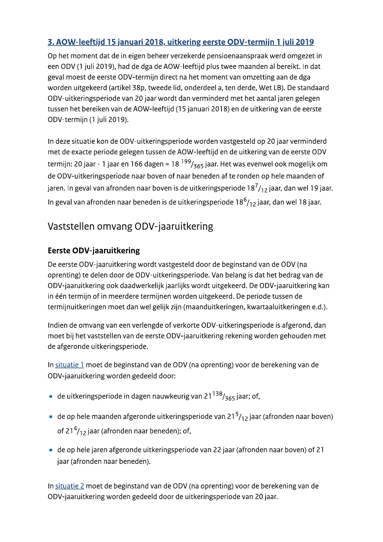### 3. AOW-leeftijd 15 januari 2018, uitkering eerste ODV-termijn 1 juli 2019

Op het moment dat de in eigen beheer verzekerde pensioenaanspraak werd omgezet in een ODV (1 juli 2019), had de dga de AOW-leeftijd plus twee maanden al bereikt. In dat geval moest de eerste ODV-termijn direct na het moment van omzetting aan de dga worden uitgekeerd (artikel 38p, tweede lid, onderdeel a, ten derde, Wet LB). De standaard ODV-uitkeringsperiode van 20 jaar wordt dan verminderd met het aantal jaren gelegen tussen het bereiken van de AOW-leeftijd (15 januari 2018) en de uitkering van de eerste ODV-termijn (1 juli 2019).

In deze situatie kon de ODV-uitkeringsperiode worden vastgesteld op 20 jaar verminderd met de exacte periode gelegen tussen de AOW-leeftijd en de uitkering van de eerste ODV termijn: 20 jaar - 1 jaar en 166 dagen = 18  $^{199}/_{365}$  jaar. Het was evenwel ook mogelijk om de ODV-uitkeringsperiode naar boven of naar beneden af te ronden op hele maanden of jaren. In geval van afronden naar boven is de uitkeringsperiode 18 $^7$ /12 jaar, dan wel 19 jaar. In geval van afronden naar beneden is de uitkeringsperiode  $18<sup>6</sup>/12$  jaar, dan wel 18 jaar.

# Vaststellen omvang ODV-jaaruitkering

### **Eerste ODV-jaaruitkering**

De eerste ODV-jaaruitkering wordt vastgesteld door de beginstand van de ODV (na oprenting) te delen door de ODV-uitkeringsperiode. Van belang is dat het bedrag van de ODV-jaaruitkering ook daadwerkelijk jaarlijks wordt uitgekeerd. De ODV-jaaruitkering kan in één termijn of in meerdere termijnen worden uitgekeerd. De periode tussen de termijnuitkeringen moet dan wel gelijk zijn (maanduitkeringen, kwartaaluitkeringen e.d.).

Indien de omvang van een verlengde of verkorte ODV-uitkeringsperiode is afgerond, dan moet bij het vaststellen van de eerste ODV-jaaruitkering rekening worden gehouden met de afgeronde uitkeringsperiode.

In situatie 1 moet de beginstand van de ODV (na oprenting) voor de berekening van de ODV-jaaruitkering worden gedeeld door:

- **de uitkeringsperiode in dagen nauwkeurig van 21<sup>138</sup>/<sub>365</sub> jaar; of,**
- de op hele maanden afgeronde uitkeringsperiode van 21<sup>5</sup>/12 jaar (afronden naar boven) of 21<sup>4</sup>/<sub>12</sub> jaar (afronden naar beneden); of,
- de op hele jaren afgeronde uitkeringsperiode van 22 jaar (afronden naar boven) of 21 jaar (afronden naar beneden).

In situatie 2 moet de beginstand van de ODV (na oprenting) voor de berekening van de ODV-jaaruitkering worden gedeeld door de uitkeringsperiode van 20 jaar.